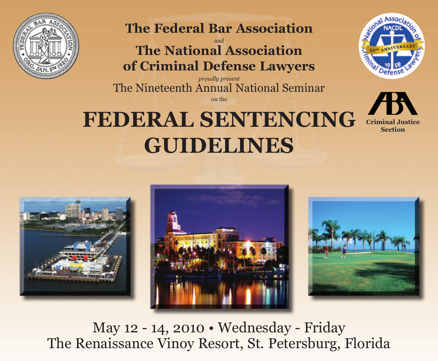

**The Federal Bar Association**

and **The National Association of Criminal Defense Lawyers**

*proudly present* The Nineteenth Annual National Seminar

on the

# **FEDERAL SENTENCING GUIDELINES**











May 12 - 14, 2010 • Wednesday - Friday The Renaissance Vinoy Resort, St. Petersburg, Florida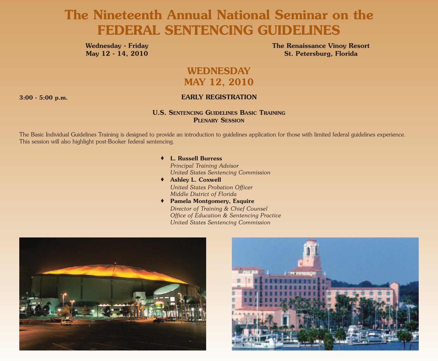## **The Nineteenth Annual National Seminar on the FEDERAL SENTENCING GUIDELINES**

**Wednesday - Friday May 12 - 14, 2010** **The Renaissance Vinoy Resort St. Petersburg, Florida**

## **WEDNESDAY MAY 12, 2010**

### **3:00 - 5:00 p.m. EARLY REGISTRATION**

### **U.S. SENTENCING GUIDELINES BASIC TRAINING PLENARY SESSION**

The Basic Individual Guidelines Training is designed to provide an introduction to guidelines application for those with limited federal guidelines experience. This session will also highlight post-Booker federal sentencing.

### **◆ L. Russell Burress**

*Principal Training Advisor United States Sentencing Commission*

- **◆ Ashley L. Coxwell** *United States Probation Officer Middle District of Florida*
- **◆ Pamela Montgomery, Esquire** *Director of Training & Chief Counsel Office of Education & Sentencing Practice United States Sentencing Commission*



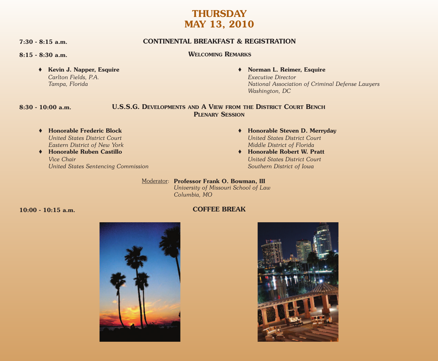## **THURSDAY MAY 13, 2010**

**7:30 - 8:15 a.m. CONTINENTAL BREAKFAST & REGISTRATION**

**8:15 - 8:30 a.m. WELCOMING REMARKS**

**◆ Kevin J. Napper, Esquire** *Carlton Fields, P.A. Tampa, Florida*

**◆ Norman L. Reimer, Esquire**

*Executive Director National Association of Criminal Defense Lawyers Washington, DC*

### **8:30 - 10:00 a.m. U.S.S.G. DEVELOPMENTS AND A VIEW FROM THE DISTRICT COURT BENCH PLENARY SESSION**

- **◆ Honorable Frederic Block** *United States District Court Eastern District of New York*
- **◆ Honorable Ruben Castillo** *Vice Chair United States Sentencing Commission*
- **◆ Honorable Steven D. Merryday** *United States District Court Middle District of Florida*
- **◆ Honorable Robert W. Pratt** *United States District Court Southern District of Iowa*

Moderator: **Professor Frank O. Bowman, III**

*University of Missouri School of Law Columbia, MO*

### **10:00 - 10:15 a.m. COFFEE BREAK**



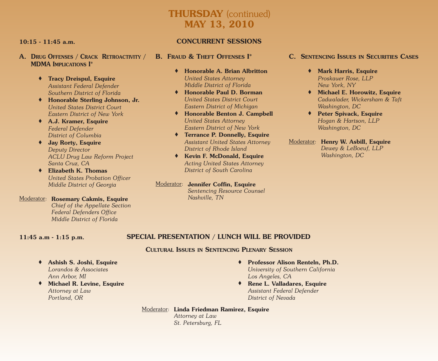## **THURSDAY** (continued) **MAY 13, 2010**

- **A. DRUG OFFENSES / CRACK RETROACTIVITY / MDMA IMPLICATIONS I\***
	- **◆ Tracy Dreispul, Esquire** *Assistant Federal Defender Southern District of Florida*
	- **◆ Honorable Sterling Johnson, Jr.** *United States District Court Eastern District of New York*
	- **◆ A.J. Kramer, Esquire** *Federal Defender District of Columbia*
	- **◆ Jay Rorty, Esquire** *Deputy Director ACLU Drug Law Reform Project Santa Cruz, CA*
	- **◆ Elizabeth K. Thomas** *United States Probation Officer Middle District of Georgia*
- Moderator: **Rosemary Cakmis, Esquire** *Chief of the Appellate Section Federal Defenders Office Middle District of Florida*

### **10:15 - 11:45 a.m. CONCURRENT SESSIONS**

- **B. FRAUD & THEFT OFFENSES I\***
	- **◆ Honorable A. Brian Albritton** *United States Attorney Middle District of Florida*
	- **◆ Honorable Paul D. Borman** *United States District Court Eastern District of Michigan*
	- **◆ Honorable Benton J. Campbell** *United States Attorney Eastern District of New York*
	- **◆ Terrance P. Donnelly, Esquire** *Assistant United States Attorney District of Rhode Island*
	- **◆ Kevin F. McDonald, Esquire** *Acting United States Attorney District of South Carolina*
- Moderator: **Jennifer Coffin, Esquire**
	- *Sentencing Resource Counsel Nashville, TN*

### **C. SENTENCING ISSUES IN SECURITIES CASES**

- **◆ Mark Harris, Esquire** *Proskauer Rose, LLP New York, NY*
- **◆ Michael E. Horowitz, Esquire** *Cadwalader, Wickersham & Taft Washington, DC*
- **◆ Peter Spivack, Esquire** *Hogan & Hartson, LLP Washington, DC*
- Moderator*:* **Henry W. Asbill, Esquire** *Dewey & LeBoeuf, LLP Washington, DC*

### **11:45 a.m - 1:15 p.m. SPECIAL PRESENTATION / LUNCH WILL BE PROVIDED**

### **CULTURAL ISSUES IN SENTENCING PLENARY SESSION**

- **◆ Ashish S. Joshi, Esquire** *Lorandos & Associates Ann Arbor, MI*
- **◆ Michael R. Levine, Esquire** *Attorney at Law Portland, OR*
- **◆ Professor Alison Renteln, Ph.D.** *University of Southern California Los Angeles, CA*
- **◆ Rene L. Valladares, Esquire** *Assistant Federal Defender District of Nevada*

### Moderator: **Linda Friedman Ramirez, Esquire**

*Attorney at Law St. Petersburg, FL*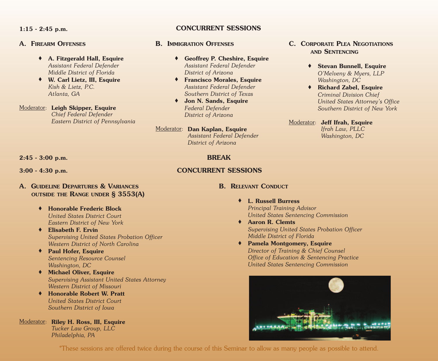### **A. FIREARM OFFENSES**

- **◆ A. Fitzgerald Hall, Esquire** *Assistant Federal Defender Middle District of Florida*
- **◆ W. Carl Lietz, III, Esquire** *Kish & Lietz, P.C. Atlanta, GA*

### Moderator: **Leigh Skipper, Esquire** *Chief Federal Defender Eastern District of Pennsylvania*

### **1:15 - 2:45 p.m. CONCURRENT SESSIONS**

### **B. IMMIGRATION OFFENSES**

- **◆ Geoffrey P. Cheshire, Esquire** *Assistant Federal Defender District of Arizona*
- **◆ Francisco Morales, Esquire** *Assistant Federal Defender Southern District of Texas*
- **◆ Jon N. Sands, Esquire** *Federal Defender District of Arizona*

### Moderator: **Dan Kaplan, Esquire**

*Assistant Federal Defender District of Arizona*

### **C. CORPORATE PLEA NEGOTIATIONS AND SENTENCING**

- **◆ Stevan Bunnell, Esquire** *O'Melveny & Myers, LLP Washington, DC*
- **◆ Richard Zabel, Esquire** *Criminal Division Chief United States Attorney's Office Southern District of New York*

### Moderator: **Jeff Ifrah, Esquire** *Ifrah Law, PLLC Washington, DC*

### **2:45 - 3:00 p.m. BREAK**

**3:00 - 4:30 p.m. CONCURRENT SESSIONS**

- **A. GUIDELINE DEPARTURES & VARIANCES OUTSIDE THE RANGE UNDER § 3553(A)**
	- **◆ Honorable Frederic Block** *United States District Court Eastern District of New York*
	- *Supervising United States Probation Officer Western District of North Carolina*
	- **◆ Paul Hofer, Esquire** *Sentencing Resource Counsel Washington, DC*
	- *Supervising Assistant United States Attorney Western District of Missouri*
	- **◆ Honorable Robert W. Pratt** *United States District Court Southern District of Iowa*
- Moderator: **Riley H. Ross, III, Esquire** *Tucker Law Group, LLC Philadelphia, PA*

### **B. RELEVANT CONDUCT**

## **◆ L. Russell Burress**

*Principal Training Advisor United States Sentencing Commission*

- **◆ Aaron R. Clemts** *Supervising United States Probation Officer Middle District of Florida*
- **◆ Pamela Montgomery, Esquire** *Director of Training & Chief Counsel Office of Education & Sentencing Practice United States Sentencing Commission*

\*These sessions are offered twice during the course of this Seminar to allow as many people as possible to attend.

- -
	- **◆ Elisabeth F. Ervin**
	-
	- **◆ Michael Oliver, Esquire**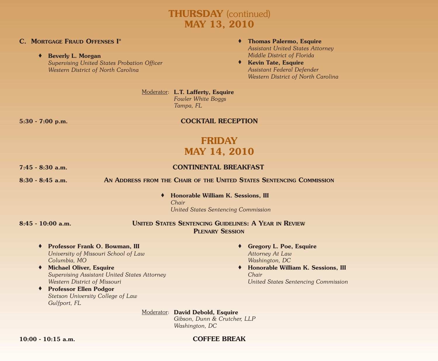## **THURSDAY** (continued) **MAY 13, 2010**

### **C. MORTGAGE FRAUD OFFENSES I\***

**◆ Beverly L. Morgan**

*Supervising United States Probation Officer Western District of North Carolina*

- **◆ Thomas Palermo, Esquire** *Assistant United States Attorney Middle District of Florida*
- **◆ Kevin Tate, Esquire** *Assistant Federal Defender Western District of North Carolina*

Moderator: **L.T. Lafferty, Esquire** *Fowler White Boggs*

*Tampa, FL*

### **5:30 - 7:00 p.m. COCKTAIL RECEPTION**

## **FRIDAY MAY 14, 2010**

### **7:45 - 8:30 a.m. CONTINENTAL BREAKFAST**

**8:30 - 8:45 a.m. AN ADDRESS FROM THE CHAIR OF THE UNITED STATES SENTENCING COMMISSION**

**◆ Honorable William K. Sessions, III** *Chair United States Sentencing Commission*

### **8:45 - 10:00 a.m. UNITED STATES SENTENCING GUIDELINES: A YEAR IN REVIEW PLENARY SESSION**

- **◆ Professor Frank O. Bowman, III** *University of Missouri School of Law Columbia, MO*
- **◆ Michael Oliver, Esquire** *Supervising Assistant United States Attorney Western District of Missouri*
- **◆ Professor Ellen Podgor** *Stetson University College of Law Gulfport, FL*
- **◆ Gregory L. Poe, Esquire** *Attorney At Law Washington, DC*
- **◆ Honorable William K. Sessions, III** *Chair United States Sentencing Commission*

Moderator: **David Debold, Esquire**

*Gibson, Dunn & Crutcher, LLP Washington, DC*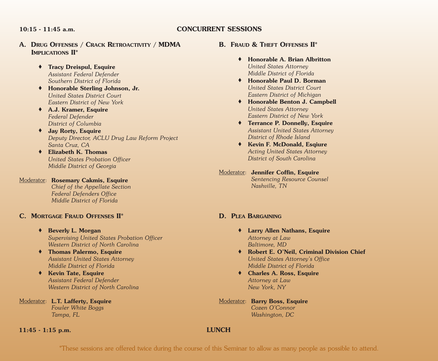### **10:15 - 11:45 a.m. CONCURRENT SESSIONS**

- **A. DRUG OFFENSES / CRACK RETROACTIVITY / MDMA IMPLICATIONS II\***
	- **◆ Tracy Dreispul, Esquire** *Assistant Federal Defender Southern District of Florida*
	- **◆ Honorable Sterling Johnson, Jr.** *United States District Court Eastern District of New York*
	- **◆ A.J. Kramer, Esquire** *Federal Defender District of Columbia*
	- **◆ Jay Rorty, Esquire** *Deputy Director, ACLU Drug Law Reform Project Santa Cruz, CA*
	- **◆ Elizabeth K. Thomas** *United States Probation Officer Middle District of Georgia*

### Moderator: **Rosemary Cakmis, Esquire**

*Chief of the Appellate Section Federal Defenders Office Middle District of Florida*

### **C. MORTGAGE FRAUD OFFENSES II\***

- **◆ Beverly L. Morgan** *Supervising United States Probation Officer Western District of North Carolina*
- **◆ Thomas Palermo, Esquire** *Assistant United States Attorney Middle District of Florida*
- **◆ Kevin Tate, Esquire** *Assistant Federal Defender Western District of North Carolina*

Moderator: **L.T. Lafferty, Esquire** *Fowler White Boggs Tampa, FL*

### **11:45 - 1:15 p.m. LUNCH**

### **B. FRAUD & THEFT OFFENSES II\***

- **◆ Honorable A. Brian Albritton** *United States Attorney Middle District of Florida*
- **◆ Honorable Paul D. Borman** *United States District Court Eastern District of Michigan*
- **◆ Honorable Benton J. Campbell** *United States Attorney Eastern District of New York*
- **◆ Terrance P. Donnelly, Esquire** *Assistant United States Attorney District of Rhode Island*
- **◆ Kevin F. McDonald, Esqiure** *Acting United States Attorney District of South Carolina*
- Moderator: **Jennifer Coffin, Esquire** *Sentencing Resource Counsel Nashville, TN*

### **D. PLEA BARGAINING**

- **◆ Larry Allen Nathans, Esquire** *Attorney at Law Baltimore, MD*
- **◆ Robert E. O'Neil, Criminal Division Chief** *United States Attorney's Office Middle District of Florida*
- **◆ Charles A. Ross, Esquire** *Attorney at Law New York, NY*
- Moderator: **Barry Boss, Esquire** *Cozen O'Connor Washington, DC*

\*These sessions are offered twice during the course of this Seminar to allow as many people as possible to attend.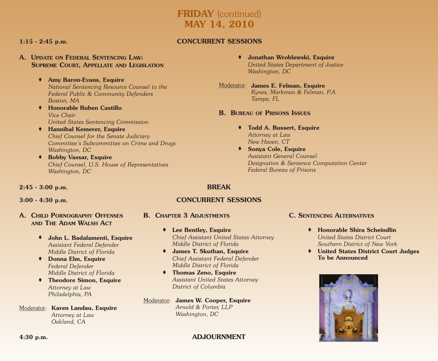## **FRIDAY** (continued) **MAY 14, 2010**

### **A. UPDATE ON FEDERAL SENTENCING LAW: SUPREME COURT, APPELLATE AND LEGISLATION**

### **◆ Amy Baron-Evans, Esquire**

*National Sentencing Resource Counsel to the Federal Public & Community Defenders Boston, MA*

- **◆ Honorable Ruben Castillo** *Vice Chair United States Sentencing Commission*
- **◆ Hannibal Kemerer, Esquire** *Chief Counsel for the Senate Judiciary Committee's Subcommittee on Crime and Drugs Washington, DC*
- **◆ Bobby Vassar, Esquire** *Chief Counsel, U.S. House of Representatives Washington, DC*

### **1:15 - 2:45 p.m. CONCURRENT SESSIONS**

**◆ Jonathan Wroblewski, Esquire** *United States Department of Justice Washington, DC*

### Moderator: **James E. Felman, Esquire** *Kynes, Markman & Felman, P.A. Tampa, FL*

### **B. BUREAU OF PRISONS ISSUES**

- **◆ Todd A. Bussert, Esquire** *Attorney at Law New Haven, CT*
- **◆ Sonya Cole, Esquire** *Assistant General Counsel Designation & Sentence Computation Center Federal Bureau of Prisons*

### **2:45 - 3:00 p.m. BREAK**

### **A. CHILD PORNOGRAPHY OFFENSES AND THE ADAM WALSH ACT**

- **◆ John L. Badalamenti, Esquire** *Assistant Federal Defender Middle District of Florida*
- **◆ Donna Elm, Esquire** *Federal Defender Middle District of Florida*
- **◆ Theodore Simon, Esquire** *Attorney at Law Philadelphia, PA*
- Moderator: **Karen Landau, Esquire** *Attorney at Law Oakland, CA*

### **3:00 - 4:30 p.m. CONCURRENT SESSIONS**

- **B. CHAPTER 3 ADJUSTMENTS**
	- **◆ Lee Bentley, Esquire** *Chief Assistant United States Attorney Middle District of Florida*
	- **◆ James T. Skuthan, Esquire** *Chief Assistant Federal Defender Middle District of Florida*
	- **◆ Thomas Zeno, Esquire** *Assistant United States Attorney District of Columbia*

### Moderator: **James W. Cooper, Esquire** *Arnold & Porter, LLP Washington, DC*

### **C. SENTENCING ALTERNATIVES**

- **◆ Honorable Shira Scheindlin** *United States District Court Southern District of New York*
- **◆ United States District Court Judges To be Announced**

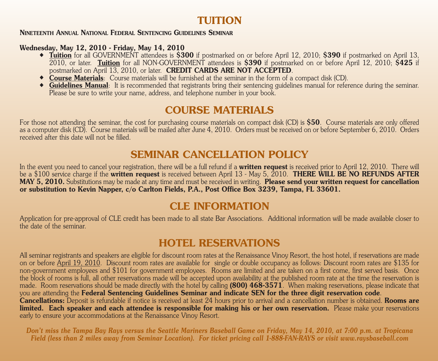## **TUITION**

### **NINETEENTH ANNUAL NATIONAL FEDERAL SENTENCING GUIDELINES SEMINAR**

### **Wednesday, May 12, 2010 - Friday, May 14, 2010**

- **◆ Tuition** for all GOVERNMENT attendees is **\$300** if postmarked on or before April 12, 2010; **\$390** if postmarked on April 13, 2010, or later. **Tuition** for all NON-GOVERNMENT attendees is **\$390** if postmarked on or before April 12, 2010; **\$425** if postmarked on April 13, 2010, or later. **CREDIT CARDS ARE NOT ACCEPTED**.
- **◆ Course Materials**: Course materials will be furnished at the seminar in the form of a compact disk (CD).
- **◆ Guidelines Manual**: It is recommended that registrants bring their sentencing guidelines manual for reference during the seminar. Please be sure to write your name, address, and telephone number in your book.

## **COURSE MATERIALS**

For those not attending the seminar, the cost for purchasing course materials on compact disk (CD) is **\$50**. Course materials are only offered as a computer disk (CD). Course materials will be mailed after June 4, 2010. Orders must be received on or before September 6, 2010. Orders received after this date will not be filled.

## **SEMINAR CANCELLATION POLICY**

In the event you need to cancel your registration, there will be a full refund if a **written request** is received prior to April 12, 2010. There will be a \$100 service charge if the **written request** is received between April 13 - May 5, 2010. **THERE WILL BE NO REFUNDS AFTER MAY 5, 2010.** Substitutions may be made at any time and must be received in writing. **Please send your written request for cancellation or substitution to Kevin Napper, c/o Carlton Fields, P.A., Post Office Box 3239, Tampa, FL 33601.**

## **CLE INFORMATION**

Application for pre-approval of CLE credit has been made to all state Bar Associations. Additional information will be made available closer to the date of the seminar.

## **HOTEL RESERVATIONS**

All seminar registrants and speakers are eligible for discount room rates at the Renaissance Vinoy Resort, the host hotel, if reservations are made on or before April 19, 2010. Discount room rates are available for single or double occupancy as follows: Discount room rates are \$135 for non-government employees and \$101 for government employees. Rooms are limited and are taken on a first come, first served basis. Once the block of rooms is full, all other reservations made will be accepted upon availability at the published room rate at the time the reservation is made. Room reservations should be made directly with the hotel by calling **(800) 468-3571**. When making reservations, please indicate that you are attending the **Federal Sentencing Guidelines Seminar and indicate SEN for the three digit reservation code**. **Cancellations:** Deposit is refundable if notice is received at least 24 hours prior to arrival and a cancellation number is obtained. **Rooms are** limited. Each speaker and each attendee is responsible for making his or her own reservation. Please make your reservations early to ensure your accommodations at the Renaissance Vinoy Resort.

Don't miss the Tampa Bay Rays versus the Seattle Mariners Baseball Game on Friday, May 14, 2010, at 7:00 p.m. at Tropicana Field (less than 2 miles away from Seminar Location). For ticket pricing call 1-888-FAN-RAYS or visit www.raysbaseball.com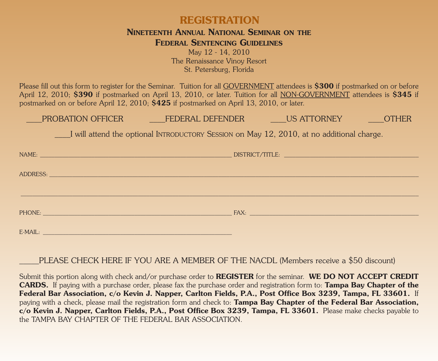## **REGISTRATION**

### **NINETEENTH ANNUAL NATIONAL SEMINAR ON THE FEDERAL SENTENCING GUIDELINES**

May 12 - 14, 2010 The Renaissance Vinoy Resort St. Petersburg, Florida

Please fill out this form to register for the Seminar. Tuition for all GOVERNMENT attendees is **\$300** if postmarked on or before April 12, 2010; **\$390** if postmarked on April 13, 2010, or later. Tuition for all NON-GOVERNMENT attendees is **\$345** if postmarked on or before April 12, 2010; **\$425** if postmarked on April 13, 2010, or later.

PROBATION OFFICER \_\_\_\_\_\_\_\_\_\_FEDERAL DEFENDER \_\_\_\_\_\_\_US ATTORNEY \_\_\_\_\_\_\_\_OTHER

\_\_\_\_I will attend the optional INTRODUCTORY SESSION on May 12, 2010, at no additional charge.

| NAME:                                                                                                          | DISTRICT/TITLE: |
|----------------------------------------------------------------------------------------------------------------|-----------------|
|                                                                                                                |                 |
| ADDRESS:                                                                                                       |                 |
|                                                                                                                |                 |
|                                                                                                                |                 |
|                                                                                                                |                 |
|                                                                                                                |                 |
| PHONE: PHONE PHONE                                                                                             | FAX: FAX:       |
|                                                                                                                |                 |
| E-MAIL: E-MAIL: Particular and the contract of the contract of the contract of the contract of the contract of |                 |
|                                                                                                                |                 |

PLEASE CHECK HERE IF YOU ARE A MEMBER OF THE NACDL (Members receive a \$50 discount)

Submit this portion along with check and/or purchase order to **REGISTER** for the seminar. **WE DO NOT ACCEPT CREDIT CARDS.** If paying with a purchase order, please fax the purchase order and registration form to: **Tampa Bay Chapter of the** Federal Bar Association, c/o Kevin J. Napper, Carlton Fields, P.A., Post Office Box 3239, Tampa, FL 33601. If paying with a check, please mail the registration form and check to: **Tampa Bay Chapter of the Federal Bar Association, c/o Kevin J. Napper, Carlton Fields, P.A., Post Office Box 3239, Tampa, FL 33601.** Please make checks payable to the TAMPA BAY CHAPTER OF THE FEDERAL BAR ASSOCIATION.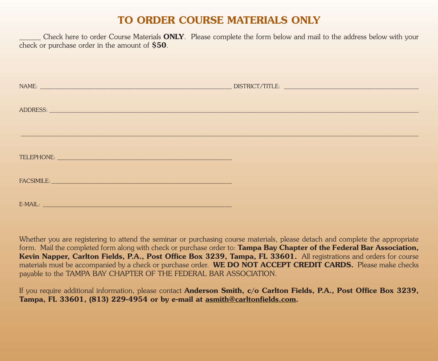## **TO ORDER COURSE MATERIALS ONLY**

\_\_\_\_\_\_ Check here to order Course Materials **ONLY**. Please complete the form below and mail to the address below with your check or purchase order in the amount of **\$50**.

| NAME:                                                                                                                                                                                                                          |          |  |
|--------------------------------------------------------------------------------------------------------------------------------------------------------------------------------------------------------------------------------|----------|--|
|                                                                                                                                                                                                                                |          |  |
|                                                                                                                                                                                                                                | ADDRESS: |  |
|                                                                                                                                                                                                                                |          |  |
|                                                                                                                                                                                                                                |          |  |
|                                                                                                                                                                                                                                |          |  |
| FACSIMILE: University of the contract of the contract of the contract of the contract of the contract of the contract of the contract of the contract of the contract of the contract of the contract of the contract of the c |          |  |
| E-MAIL: Production of the contract of the contract of the contract of the contract of the contract of the contract of the contract of the contract of the contract of the contract of the contract of the contract of the cont |          |  |

Whether you are registering to attend the seminar or purchasing course materials, please detach and complete the appropriate form. Mail the completed form along with check or purchase order to: **Tampa Bay Chapter of the Federal Bar Association, Kevin Napper, Carlton Fields, P.A., Post Office Box 3239, Tampa, FL 33601.** All registrations and orders for course materials must be accompanied by a check or purchase order. **WE DO NOT ACCEPT CREDIT CARDS.** Please make checks payable to the TAMPA BAY CHAPTER OF THE FEDERAL BAR ASSOCIATION.

If you require additional information, please contact **Anderson Smith, c/o Carlton Fields, P.A., Post Office Box 3239, Tampa, FL 33601, (813) 229-4954 or by e-mail at asmith@carltonfields.com.**